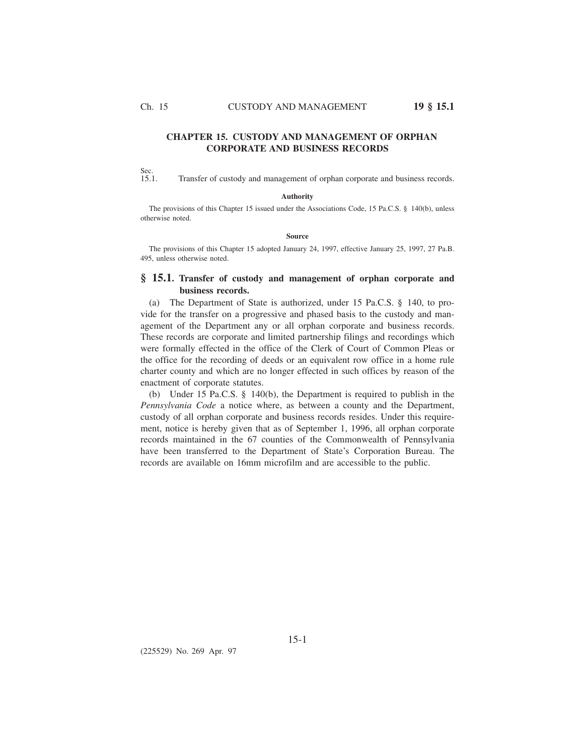Ch. 15 CUSTODY AND MANAGEMENT **19 § 15.1**

## **CHAPTER 15. CUSTODY AND MANAGEMENT OF ORPHAN CORPORATE AND BUSINESS RECORDS**

Sec.<br>15.1. Transfer of custody and management of orphan corporate and business records.

## **Authority**

The provisions of this Chapter 15 issued under the Associations Code, 15 Pa.C.S. § 140(b), unless otherwise noted.

## **Source**

The provisions of this Chapter 15 adopted January 24, 1997, effective January 25, 1997, 27 Pa.B. 495, unless otherwise noted.

## **§ 15.1. Transfer of custody and management of orphan corporate and business records.**

(a) The Department of State is authorized, under 15 Pa.C.S. § 140, to provide for the transfer on a progressive and phased basis to the custody and management of the Department any or all orphan corporate and business records. These records are corporate and limited partnership filings and recordings which were formally effected in the office of the Clerk of Court of Common Pleas or the office for the recording of deeds or an equivalent row office in a home rule charter county and which are no longer effected in such offices by reason of the enactment of corporate statutes.

(b) Under 15 Pa.C.S. § 140(b), the Department is required to publish in the *Pennsylvania Code* a notice where, as between a county and the Department, custody of all orphan corporate and business records resides. Under this requirement, notice is hereby given that as of September 1, 1996, all orphan corporate records maintained in the 67 counties of the Commonwealth of Pennsylvania have been transferred to the Department of State's Corporation Bureau. The records are available on 16mm microfilm and are accessible to the public.

(225529) No. 269 Apr. 97

15-1